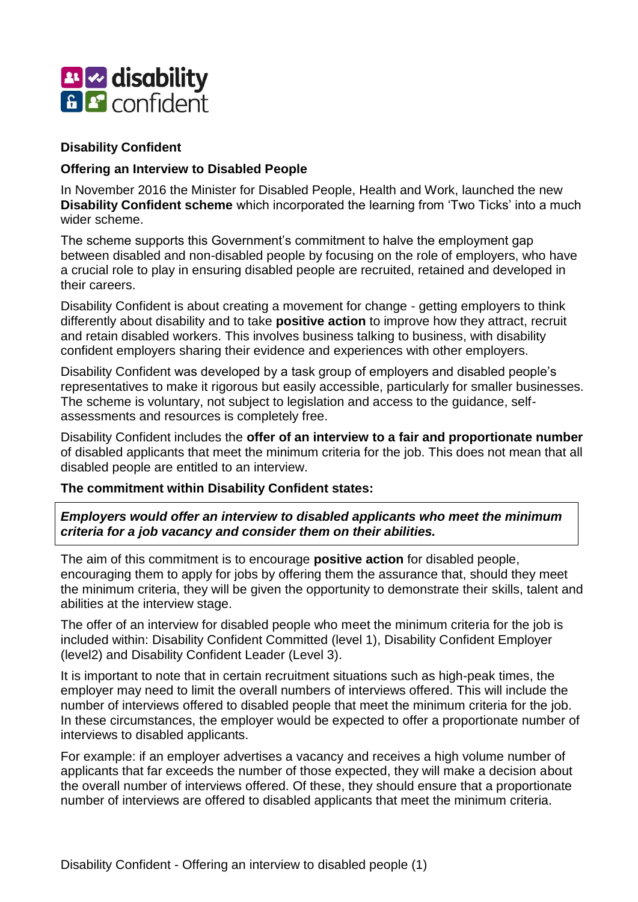

### **Disability Confident**

### **Offering an Interview to Disabled People**

In November 2016 the Minister for Disabled People, Health and Work, launched the new **Disability Confident scheme** which incorporated the learning from 'Two Ticks' into a much wider scheme.

The scheme supports this Government's commitment to halve the employment gap between disabled and non-disabled people by focusing on the role of employers, who have a crucial role to play in ensuring disabled people are recruited, retained and developed in their careers.

Disability Confident is about creating a movement for change - getting employers to think differently about disability and to take **positive action** to improve how they attract, recruit and retain disabled workers. This involves business talking to business, with disability confident employers sharing their evidence and experiences with other employers.

Disability Confident was developed by a task group of employers and disabled people's representatives to make it rigorous but easily accessible, particularly for smaller businesses. The scheme is voluntary, not subject to legislation and access to the guidance, selfassessments and resources is completely free.

Disability Confident includes the **offer of an interview to a fair and proportionate number**  of disabled applicants that meet the minimum criteria for the job. This does not mean that all disabled people are entitled to an interview.

#### **The commitment within Disability Confident states:**

*Employers would offer an interview to disabled applicants who meet the minimum criteria for a job vacancy and consider them on their abilities.*

The aim of this commitment is to encourage **positive action** for disabled people, encouraging them to apply for jobs by offering them the assurance that, should they meet the minimum criteria, they will be given the opportunity to demonstrate their skills, talent and abilities at the interview stage.

The offer of an interview for disabled people who meet the minimum criteria for the job is included within: Disability Confident Committed (level 1), Disability Confident Employer (level2) and Disability Confident Leader (Level 3).

It is important to note that in certain recruitment situations such as high-peak times, the employer may need to limit the overall numbers of interviews offered. This will include the number of interviews offered to disabled people that meet the minimum criteria for the job. In these circumstances, the employer would be expected to offer a proportionate number of interviews to disabled applicants.

For example: if an employer advertises a vacancy and receives a high volume number of applicants that far exceeds the number of those expected, they will make a decision about the overall number of interviews offered. Of these, they should ensure that a proportionate number of interviews are offered to disabled applicants that meet the minimum criteria.